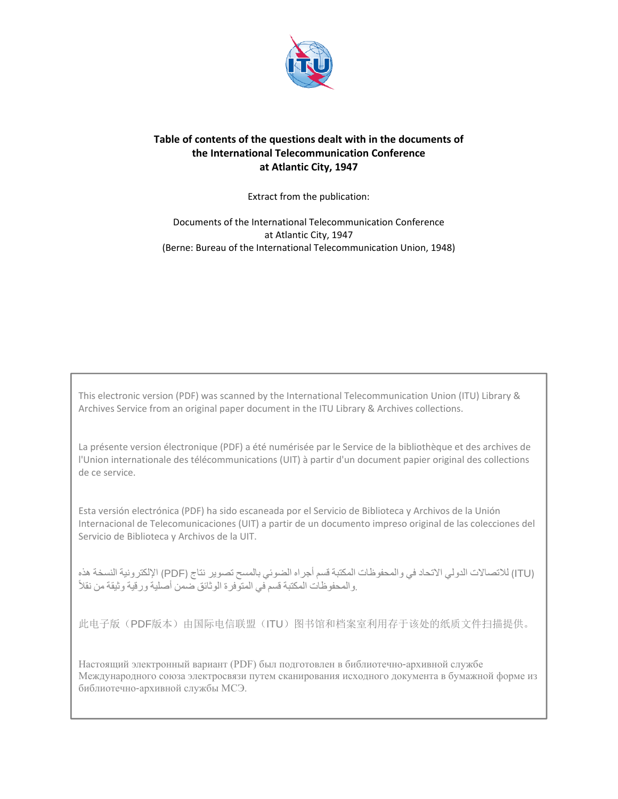

# **Table of contents of the questions dealt with in the documents of the International Telecommunication Conference at Atlantic City, 1947**

Extract from the publication:

Documents of the International Telecommunication Conference at Atlantic City, 1947 (Berne: Bureau of the International Telecommunication Union, 1948)

This electronic version (PDF) was scanned by the International Telecommunication Union (ITU) Library & Archives Service from an original paper document in the ITU Library & Archives collections.

La présente version électronique (PDF) a été numérisée par le Service de la bibliothèque et des archives de l'Union internationale des télécommunications (UIT) à partir d'un document papier original des collections de ce service.

Esta versión electrónica (PDF) ha sido escaneada por el Servicio de Biblioteca y Archivos de la Unión Internacional de Telecomunicaciones (UIT) a partir de un documento impreso original de las colecciones del Servicio de Biblioteca y Archivos de la UIT.

(ITU (لالتصاالت الدولي االتحاد في والمحفوظات المكتبة قسم أجراه الضوئي بالمسح تصوير نتاج (PDF (اإللكترونية النسخة ھذه ֧֖֖֖֖֖֖֖֖֧֚֚֚֚֚֚֚֚֚֚֚֚֚֝<u>֚</u><br>֧֪֩֩֩ .والمحفوظات المكتبة قسم في المتوفرة الوثائق ضمن أصلية ورقية وثيقة من نقال

此电子版(PDF版本)由国际电信联盟(ITU)图书馆和档案室利用存于该处的纸质文件扫描提供。

Настоящий электронный вариант (PDF) был подготовлен в библиотечно-архивной службе Международного союза электросвязи путем сканирования исходного документа в бумажной форме из библиотечно-архивной службы МСЭ.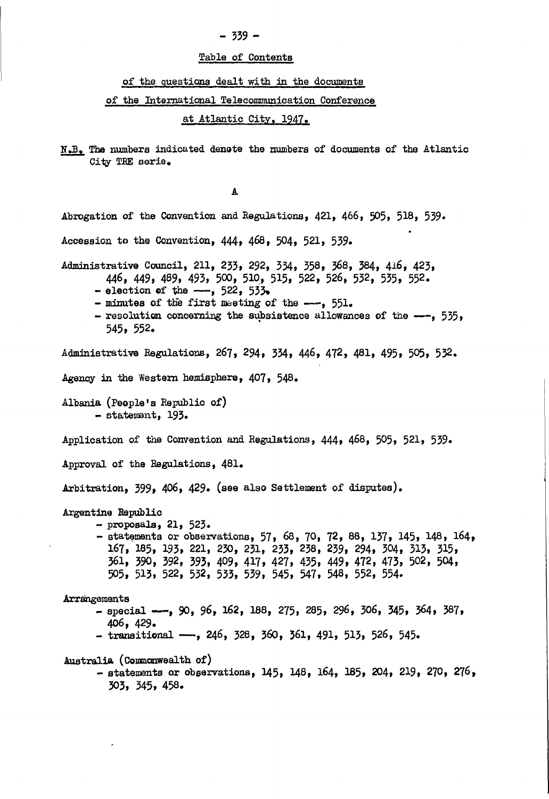## Table of Contents

## of the questions dealt with in the documents

### of the International Telecommunication Conference

at Atlantic City, 1947.

N.B. The numbers indicated denote the numbers of documents of the Atlantic City TRE serie.

A Abrogation of the Convention and Regulations, 421, 466, 505, 518, 539. Accession to the Convention, 444, 468, 504, 521, 539. Administrative Council, 211, 233, 292, 334, 358, 368, 384, 416, 423, 446, 449, 489, 493, 500, 510, 515, 522, 526, 532, 535, 552. - election of the  $--$ , 522, 533. - minutes of the first meeting of the ---, 551. - resolution concerning the subsistence allowances of the  $-$ -, 535,  $545, 552.$ Administrative Regulations, 267, 294, 334, 446, 472, 481, 495, 505, 532. Agency in the Western hemisphere, 407, 548. Albania (People's Republic of) - statement, 193. Application of the Convention and Regulations, 444, 468, 505, 521, 539. Approval of the Regulations, 481. Arbitration, 399, 406, 429. (see also Settlement of disputes). Argentine Republic  $-$  proposals, 21, 523. - statements or observations, 57, 68, 70, 72, 88, 137, 145, 148, 164, 167, 185, 193, 221, 230, 231, 233, 238, 239, 294, 304, 313, 315, 361, 390, 392, 393, 409, 417, 427, 435, 449, 472, 473, 502, 504, 505, 513, 522, 532, 533, 539, 545, 547, 548, 552, 554. Arrangements - special --, 90, 96, 162, 188, 275, 285, 296, 306, 345, 364, 387,  $406, 429.$ - transitional -, 246, 328, 360, 361, 491, 513, 526, 545. Australia (Commonwealth of) - statements or observations, 145, 148, 164, 185, 204, 219, 270, 276,  $303, 345, 458.$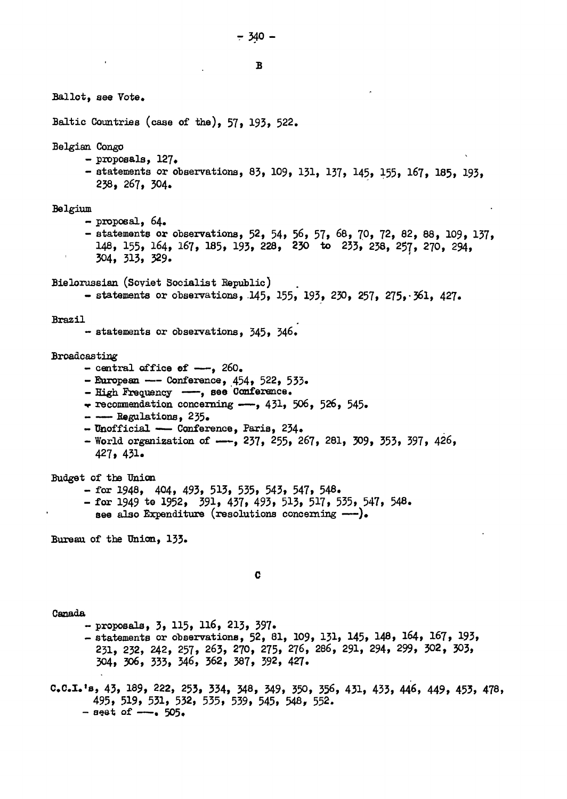B Ballot, see Vote. Baltic Countries (case of the), 57, 193, 522. Belgian Congo  $-$  proposals,  $127.$ - statements or observations, 83, 109, 131, 137, 145, 155, 167, 185, 193, 238, 267, 304. Belgium  $-$  proposal,  $64.$ - statements or observations, 52, 54, 56, 57, 68, 70, 72, 82, 88, 109, 137, 148, 155, 164, 167, 185, 193, 228, 230 to 233, 238, 257, 270, 294,  $304, 313, 329.$ Bielorussian (Soviet Socialist Republic) - statements or observations, 145, 155, 193, 230, 257, 275, 361, 427. Brazil - statements or observations, 345, 346. **Broadcasting** - central office of  $-\frac{1}{2}$ , 260. - European --- Conference,  $454$ ,  $522$ ,  $533$ . - High Frequency -, see Conference.  $\div$  recommendation concerning  $-\rightarrow$ , 431, 506, 526, 545. - - Regulations, 235. - Unofficial - Conference, Paris, 234. - World organization of  $--$ , 237, 255, 267, 281, 309, 353, 397, 426,  $427, 431.$ Budget of the Union - for 1948, 404, 493, 513, 535, 543, 547, 548. - for 1949 to 1952, 391, 437, 493, 513, 517, 535, 547, 548. see also Expenditure (resolutions concerning ---). Bureau of the Union, 133. C Canada - proposals, 3, 115, 116, 213, 397. - statements or observations, 52, 81, 109, 131, 145, 148, 164, 167, 193, 231, 232, 242, 257, 263, 270, 275, 276, 286, 291, 294, 299, 302, 303, 304, 306, 333, 346, 362, 387, 392, 427. C.C.I.'s, 43, 189, 222, 253, 334, 348, 349, 350, 356, 431, 433, 446, 449, 453, 478, 495, 519, 531, 532, 535, 539, 545, 548, 552.  $-$  seat of  $-$ . 505.

 $-340 -$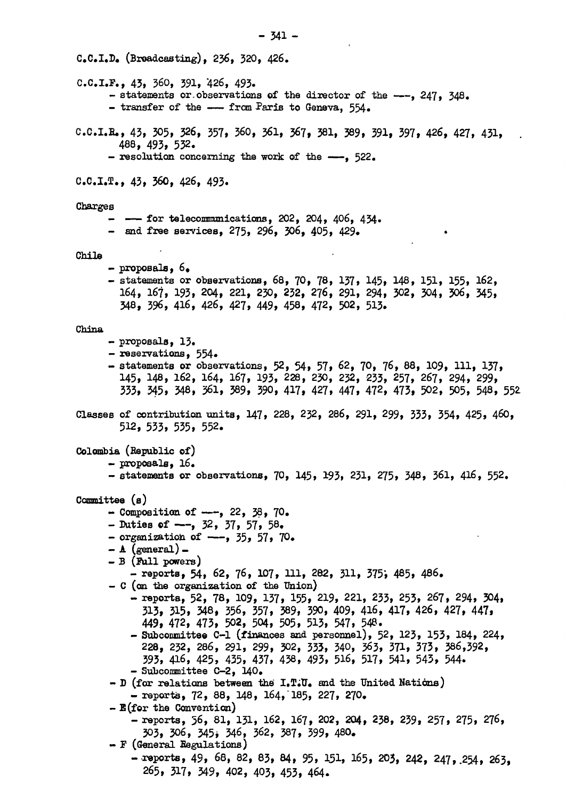$C_{\bullet}C_{\bullet}I_{\bullet}D_{\bullet}$  (Breadcasting), 236, 320, 426.  $C.C.L.F., 43, 360, 391, 426, 493.$ - statements or observations of the director of the ---, 247, 348. - transfer of the -- from Paris to Geneva, 554.  $C.C.I.R., 43, 305, 326, 357, 360, 361, 367, 381, 389, 391, 397, 426, 427, 431,$ 488, 493, 532. - resolution concerning the work of the  $-$ , 522.  $C.C.D.T., 43, 360, 426, 493.$ Charges  $--$  for telecommunications, 202, 204, 406, 434. - and free services, 275, 296, 306, 405, 429. Chile  $-$  proposals,  $6.$ - statements or observations, 68, 70, 78, 137, 145, 148, 151, 155, 162, 164, 167, 193, 204, 221, 230, 232, 276, 291, 294, 302, 304, 306, 345, 348, 396, 416, 426, 427, 449, 458, 472, 502, 513. China  $-$  proposals,  $13.$ - reservations, 554. - statements or observations, 52, 54, 57, 62, 70, 76, 88, 109, 111, 137, 145, 148, 162, 164, 167, 193, 228, 230, 232, 233, 257, 267, 294, 299, 333, 345, 348, 361, 389, 390, 417, 427, 447, 472, 473, 502, 505, 548, 552 Classes of contribution units, 147, 228, 232, 286, 291, 299, 333, 354, 425, 460,  $512, 533, 535, 552$ Colombia (Republic of)  $-$  proposals,  $16.$ - statements or observations, 70, 145, 193, 231, 275, 348, 361, 416, 552.  $Committee$  ( $a$ ) - Composition of  $--$ , 22, 38, 70. - Duties of  $--$ , 32, 37, 57, 58. - organization of  $---$ , 35, 57, 70.  $- A (general) - B$  (Full powers) - reports, 54, 62, 76, 107, 111, 282, 311, 375, 485, 486.  $-$  C (on the organization of the Union) - reports, 52, 78, 109, 137, 155, 219, 221, 233, 253, 267, 294, 304, 313, 315, 348, 356, 357, 389, 390, 409, 416, 417, 426, 427, 447, 449, 472, 473, 502, 504, 505, 513, 547, 548. - Subconmittee C-1 (finances and personnel), 52, 123, 153, 184, 224, 228, 232, 286, 291, 299, 302, 333, 340, 363, 371, 373, 386,392, 393, 416, 425, 435, 437, 438, 493, 516, 517, 541, 543, 544. - Subcommittee C-2, 140. - D (for relations between the  $I$ . T.U. and the United Nations)  $-$  reports, 72, 88, 148, 164, 185, 227, 270.  $-$  E(for the Convention) - reports, 56, 81, 131, 162, 167, 202, 204, 238, 239, 257, 275, 276, 303, 306, 345, 346, 362, 387, 399, 480.  $- F$  (General Regulations) - reports, 49, 68, 82, 83, 84, 95, 151, 165, 203, 242, 247, 254, 263, 265, 317, 349, 402, 403, 453, 464.

 $-341 -$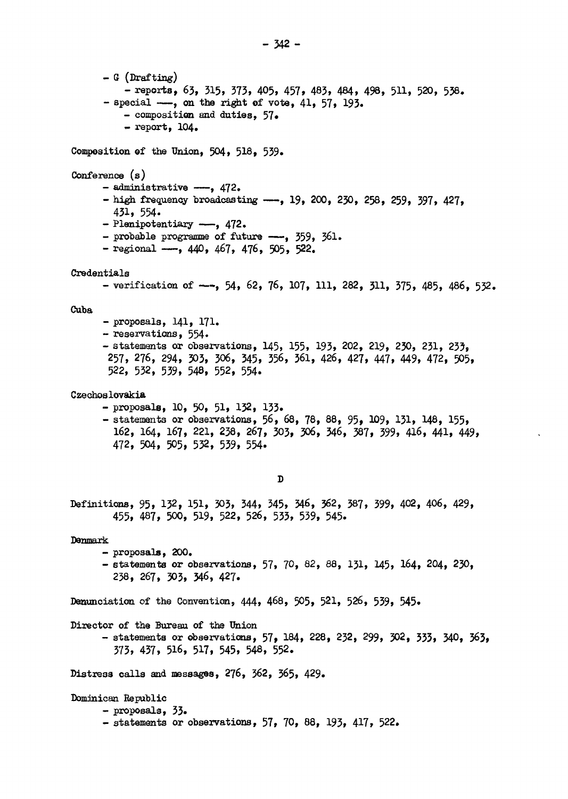```
- G (Drafting) 
          - reports, 63, 315, 373, 405, 457, 483, 484, 498, 511, 520, 538. 
      - special -, on the right of vote, 41, 57, 193.
          - composition and duties, 57» 
          - report, 104. 
Composition @f the Union, 504, 518, 539. 
Conference (s)
      - administrative -\rightarrow, 472.
      - high frequency broadcasting -\rightarrow, 19, 200, 230, 258, 259, 397, 427,
        431, 554. 
      - Plenipotentiary -, 472.
      - probable programme of future -, 359, 361.
      - regional -, 440, 467, 476, 505, 522.
Credentials 
      - verification of -, 54, 62, 76, 107, 111, 282, 311, 375, 485, 486, 532.
Cuba 
      - proposais, 141, 171. 
      - reservations, 554.
      - statements or observations, 145, 155, 193, 202, 219, 250, 231, 233, 
       257, 276, 294, 303, 306, 345, 356, 361, 426, 427, 447, 449, 472, 505, 
       522, 532, 539, 548, 552, 554. 
Czechoslovakia 
      - proposais, 10, 50, 51, 132, 133. 
      - statements or observations, 56, 68, 78, 88, 95, 109, 131, 148, 155,
        162, I64, 167, 221, 238, 267, 303, 306, 346, 387, 599, 416, 441, 449, 
        472, 504, 505, 532, 539, 554. 
                                        \mathbf{D}Définitions, 95, 132, 151, 303, 344, 345, 346, 562, 587, 599, 402, 406, 429, 
        455, 487, 500, 519, 522, 526, 533, 539, 545. 
Denmark 
      - proposais, 200. 
      - statements or observations, 57» 70, 82, 88, 131, 145, I64, 204, 250, 
        238, 267, 303, 346, 427. 
Denunciation of the Convention, 444, 468, 505, 521, 526, 539, 545. 
Director of the Bureau of the Union 
      - statements or observations, 57, 184, 228, 232, 299, 302, 333, 340, 363,
        373, 437, 516, 517, 545, 548, 552. 
Distress calls and messages, 276, 362, 565, 429. 
Dominican Republic 
      - proposais, 53» 
      - statements or observations, 57, 70, 88, 193, 417, 522.
```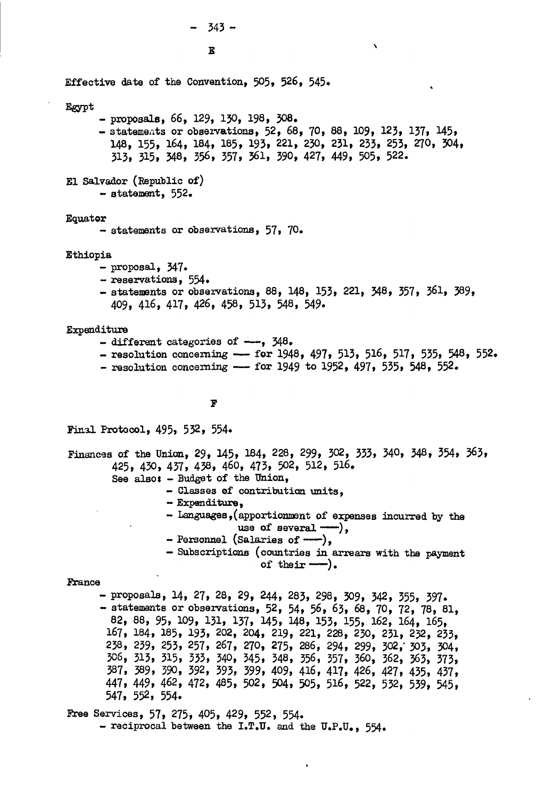Effective date of the Convention, 505, 526, 545. Egypt - proposais, 66, 129, 150, 198, 308. - statements or observations, 52, 68, 70, 88, 109, 123, 137, 145, 148, 155, 164, 184, 185, 193, 221, 230, 231, 233, 253, 270, 304, 313, 315, 348, 356, 557, 561, 390, 427, 449, 505, 522. El Salvador (Republic of) - statement, 552.

### Equator

- statements or observations, 57, 70,

### Ethiopia

- proposai, 347»
- réservations, 554.
- statements or observations, 88, 148, 153, 221, 348, 357, 361, 389, 409, 416, 417, 426, 458, 513, 548, 549.

 $\mathbf{v}$ 

#### Expenditure

- $-$  different categories of  $--$ ,  $348$ .
- $-$  resolution concerning  $--$  for 1948, 497, 513, 516, 517, 535, 548, 552.
- $-$  resolution concerning  $--$  for 1949 to 1952, 497, 535, 548, 552.

### F

Final Protocol, 495, 532, 554.

Finances of the Union, 29, 145, 184, 228, 299, 302, 333, 340, 348, 354, 363, 425, 430, 437, 438, 46O, 473, 502, 512, 516. See also: - Budget of the Union,

- Classes of contribution units,
	- Expenditure,
	- Languages,(apportionment of expenses incurred by the use of several  $-\rightarrow$ ,
	- $-$  Personnel (Salaries of  $---$ ),
	- Subscriptions (countries in arrears with the payment of their  $\rightarrow$ .

#### France

- proposais, 14, 27, 28, 29, 244, 283, 298, 309, 342, 355, 397. - statements or observations, 52, 54, 56, 63, 68, 70, 72, 78, 81, 82, 88, 95, 109, 131, 137, 145, 148, 153, 155, 162, I64, I65, I67, 184, 185, 193, 202, 204, 219, 221, 228, 230, 231, 252, 255, 258, 259, 255, 257, 267, 270, 275, 286, 294, 299, 302,' 303, 304, 306, 315, 315, 333, 340, 345, 348, 356, 357, 360, 362, 363, 373, 387, 389, 390, 392, 393, 399, 409, 416, 417, 426, 427, 435, 437, 447, 449, 462, 472, 485, 502, 504, 505, 516, 522, 532, 539, 545, 547, 552, 554.

Free Services, 57, 275, 405, 429, 552, 554. - reciprocal between the I.T.U. and the  $U.P. U.$ , 554.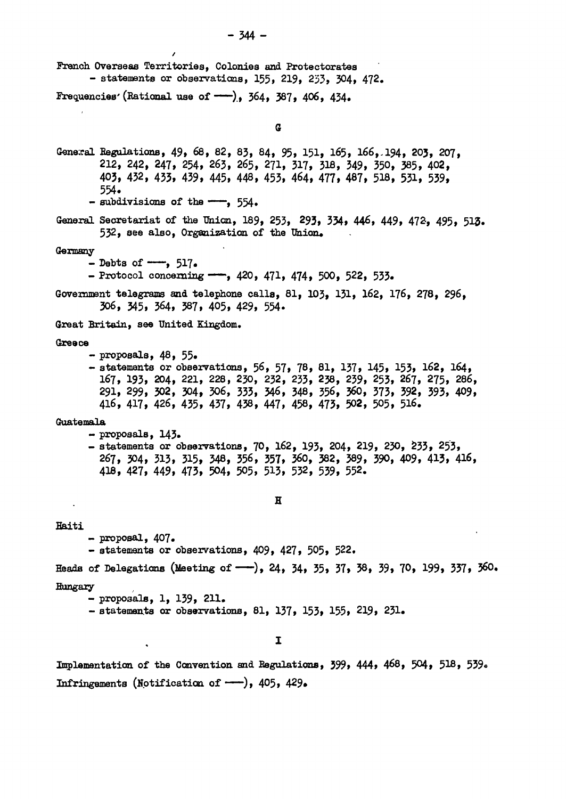- 344- French Overseas Territories, Colonies and Protectorates - statements or observations, 155, 219, 253, 304, 472. Frequencies' (Rational use of  $\rightarrow$ ), 364, 387, 406, 434. G Genexal Régulations, 49, 68, 82, 83, 84, 95, 151, I65, 166,,194, 203, 207, 212, 242, 247, 254, 263, 265, 271, 317, 318, 349, 350, 385, 402, 403, 432, 433, 439, 445, 448, 453, 464, 477, 487, 518, 531, 539, 554.  $-$  subdivisions of the  $-$ , 554. General Secretariat of the Union, 189, 253, 293, 334, 446, 449, 472, 495, 513. 532, see also, Organization of the Union, Germany - Debts of  $--$ , 517. - Protocol concerning  $-$ , 420, 471, 474, 500, 522, 533. Government telegrams and telephone calls, 81, 103, 131, 162, 176, 278, 296, 306, 345, 364, 387, 405, 429, 554. Great Britain, see United Kingdom. Greece - proposais, 48, 55» - statements or observations, 56, 57, 78, 81, 137, 145, 153, 162, 164, 167, 193, 204, 221, 228, 230, 232, 235, 238, 239, 253, 267, 275, 286, 291, 299, 302, 304, 306, 333, 346, 348, 356, 360, 373, 392, 393, 409, 416, 417, 426, 435, 437, 438, 447, 458, 473, 502, 505, 516. Guatemala  $-$  proposals,  $143.$ - statements or observations, 70, 162, 193, 204, 219, 230, 233, 253, 267, 304, 313, 315, 348, 556, 357, 360, 382, 389, 390, 409, 4U , 416, 418, 427, 449, 473, 504, 505, 513, 532, 539, 552. H Haiti  $-$  proposal,  $407.$ - statements or observations, 409, 427, 505, 522, Heads of Delegations (Meeting of  $-$ ), 24, 34, 35, 37, 38, 39, 70, 199, 337, 360. Hungary - proposals,  $1, 139, 211$ . - proposans, 1, 199, 211.<br>- statements en ebseuratio - statements or observations, 81, 137, 153, 155, 219, 231. I

Implementation of the Convention and Régulations, 399, 444, 468, 504, 5I8, 539. Infringements (Notification of  $-$ ), 405, 429.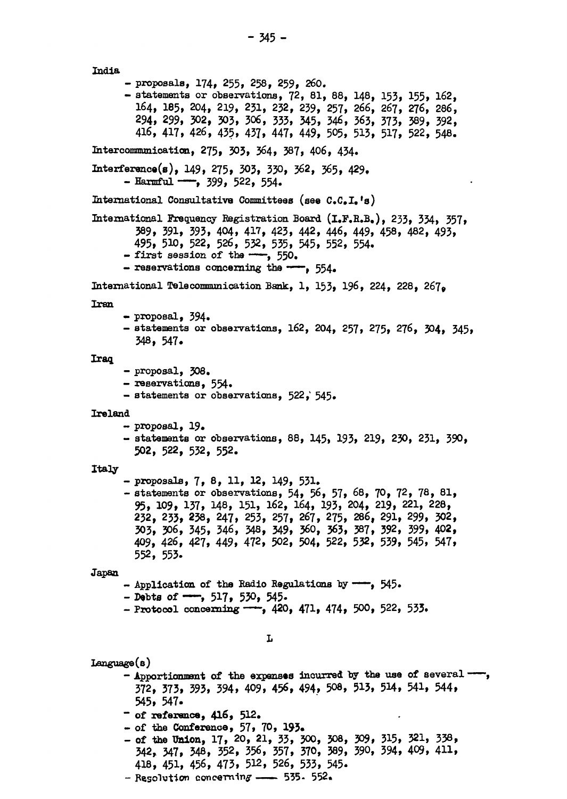India - proposais, 174, 255, 258, 259, 260. - statements or observations, 72, 81, 88, 148, 153, 155, 162, I64, 185, 204, 219, 231, 232, 239, 257, 266, 267, 276, 286, 294, 299, 302, 303, 306, 333, 345, 346, 363, 373, 389, 392, 416, 417, 426, 435, 437, 447, 449, 505, 513, 517, 522, 548. Intercommunication, 275, 303, 364, 387, 406, 454. Interférence^), 149, 275, 303, 330, 362, 365, 429.  $-$  Harmful  $--$ , 399, 522, 554. International Consultative Committees (see C.C.I.'s) International Frequency Registration Board (I.F.R.B,), 233, 334, 357, 389, 391, 393, 404, 417, 423, 442, 446, 449, 458, 482, 493, 495, 510, 522, 526, 532, 535, 545, 552, 554.  $-$  first session of the  $-$ , 550.  $-$  reservations concerning the  $--$ , 554. International Télécommunication Bank, 1, 153, I96, 224, 228, *26j<sup>9</sup>* Iran - proposai, 594» - statements or observations, 162, 204, 257, 275, 276, 504, 545, **348, 547. 348. 348.** Iraq. - proposai, 508, - réservations, 554» - statements or observations, 522, 545. Ireland - proposai, 19, - statements or observations, 88, I45, 193, 219, 230, 231, 390, 502, 522, 532, 552. Italy - proposais, 7, 8, 11, 12, 149, 531. - statements or observations, 54, 56, 57, 68, 70, 72, 78, 81, 95, 109, 137, 148, 151, 162, I64, 193, 204, 219, 221, 228, 232, 233, 238, 247, 253, 257, 267, 275, 286, 291, 299, 302, 303, 306, 345, 346, 348, 349, 360, 363, 387, 392, 399, 402, 409, 426, 427, 449, 472, 502, 504, 522, 532, 539, 545, 547, 552, 553. Japan - Application of the Radio Regulations by ---, 545.  $-$  Debts of  $-$ , 517, 530, 545. - Protocol concerning  $-$ , 420, 471, 474, 500, 522, 533. L Language(s) - Apportionment of the expenses incurred by the use of several --372, 373, 395, 394, 409, **456,** 494, 508, 913, 5H, 541, 544, 545, 547. ~ of **référence, 416,** 512. - of the **Conférence,** 57, 70, **193»**  - **of the Union,** 17, 20, 21, 33, 300, 308, 309, 315, 321, 338, 342, 347, 348, 352, 356, 357, 370, 389, 390, 394, 409, 411, 418, 451, 456, 473, 512, 526, 533, 545. - Resolution concerning  $-$  535. 552.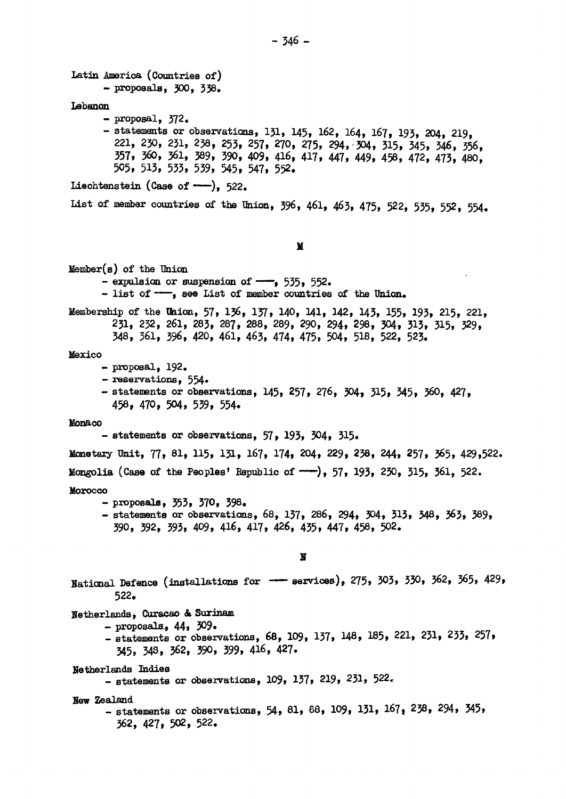Latin America (Countries of ) - proposais, 300, 338, Lebanon  $-$  proposal,  $372.$ - statements or observations, 131, 145, 162, 164, 167, 193, 204, 219, 221, 250, 231, 238, 253, 257, 270, 275, 294, 304, 315, 345, 346, 356, 357, 360, 361, 389, 390, 409, 416, 417, 447, 449, 458, 472, 473, 480, 505, 513, 533, 539, 545, 547, 552. Liechtenstein (Case of  $-\frac{1}{2}$ , 522. List of member countries of the Union, 396, 461, 463, 475, 522, 535, 552, 554. M Member(s) of the Union - expulsion or suspension of  $-$ , 535, 552.  $-$  list of  $-\frac{1}{2}$ , see List of member countries of the Union. Membership of the Union, 57, 136, 137, 140, 141, 142, 143, 155, 193, 215, 221, 251, 252, 261, 285, 287, 288, 289, 290, 294, 298, 304, 313, 315, 529, 348, 361, 396, 420, 461, 463, 474, 475, 504, 518, 522, 523. Mexico - proposai, 192. - réservations, 554»  $-$  statements or observations, 145, 257, 276, 304, 315, 345, 360, 427, 458, 470, 504, 539, 554. Monaco - statements or observations, 57, 193, 304, 315. Monetary Unit, 77, 81, 115, 131, 167, 174, 204, 229, 238, 244, 257, 365, 429,522. Mongolia (Case of the Peoples' Republic of  $-\rightarrow$ ), 57, 193, 230, 315, 361, 522. Morocco  $-$  proposals, 353, 370, 398.  $-$  statements or observations, 68, 137, 286, 294, 304, 313, 348, 363, 389, - statements or observations, 68, 17, 2009 174, 347, 313, 348, 369, 369, 369, 389, 309, 313, 389, 389, 389, 38 390, 392, 393, 409, 416, 417, 426, 435, 447, 458, 502. H National Defence (installations for  $\longrightarrow$  services), 275, 303, 330, 362, 365, 429, 522. Netherlands, Curaçao & Surinam  $-$  proposals,  $44, 309$ . - statements or observations, 68, 109, 137, 148, 185, 221, 231, 233, 257, 345, 348, 362, 390, 399, 416, 427. Netherlands Indies  $-$  statements or observations, 109, 137, 219, 231, 522. New Zealand  $-$  statements or observations, 54, 81, 88, 109, 131, 167, 238, 294, 345, 562, 427, 502, 522.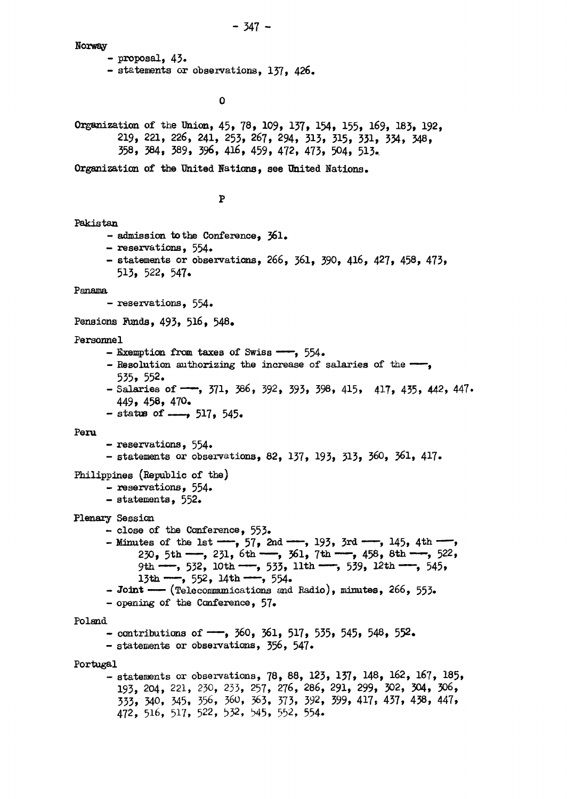Norway

- proposai, 43• - statements or observations, 137, 426.

 $\mathbf 0$ 

Organization of the Union, 45, 78, 109, 137, 154, 155, 169, 183, 192, 219, 221, 226, 241, 253, 267, 294, 313, 315, 331, 354, 348, 358, 384, 389, 396, 416, 459, 472, 473, 504, 513.

Organization of the United Nations, see United Nations.

## $\mathbf P$

```
Pakistan
```
- admission to the Conference, 361.
- réservations, 554»
- statements or observations, 266, 361, 590, 416, 427, 458, 473, 515, 522, 547.

Panama

- reservations, 554.

Pensions Funds, 493, 516, 548.

## Personnel

- Exemption from taxes of Swiss ——, 554.
- Resolution authorizing the increase of salaries of the  $-$ , 535, 552.
- Salaries of  $-$ , 371, 386, 392, 393, 398, 415, 417, 435, 442, 447. 449, 458, 470.
- $-$  status of  $-\rightarrow$  517, 545.

## Peru

- réservations, 554»
- statements or observations, 82, 137, 193, 313, 360, 361, 417.

## Philippines (Republic of the)

- réservations, 554»
- statements, 552,

# Plenary Session

- $-$  close of the Conference,  $553.$
- Minutes of the 1st  $\frac{1}{2}$ , 57, 2nd  $\frac{1}{3}$ , 3rd  $\frac{1}{4}$ , 145, 4th  $\frac{1}{3}$ 230, 5th  $\text{---}$ , 231, 6th  $\text{---}$ , 361, 7th  $\text{---}$ , 458, 8th  $\text{---}$ , 522, 9th  $-$ , 532, 10th  $-$ , 533, 11th  $-$ , 539, 12th  $-$ , 545, 13th  $--$ , 552, 14th  $--$ , 554.

 $-$  Joint — (Telecommunications and Radio), minutes, 266, 553.

- opening of the Conférence, 57.

## Poland

- contributions of  $\leftarrow$ , 360, 361, 517, 535, 545, 548, 552.
- statements or observations, 356, 547»

Portugal

- statements or observations, 78, 88, 123, 137, 148, 162, 167, 185, 193, 204, 221, 230, 233, 257, 276, 286, 291, 299, 302, 304, 306, 333, 340, 345, 556, 360, 363, 373, 392, 399, 417\* 437, 438, 447, 472, 516, 517, 522, 532, 545, 552, 554.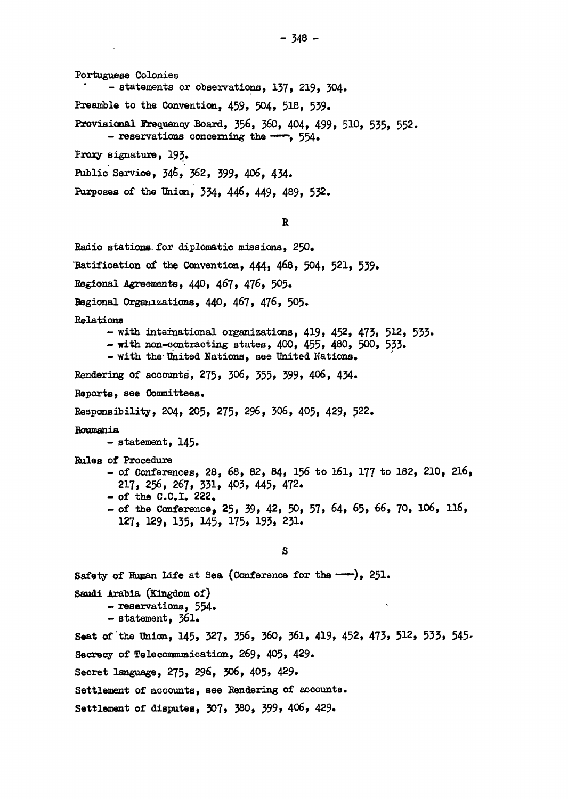Portuguese Colonies - statements or observations, 137, 219, 304. Preamble to the Convention, 459, 504, 518, 539. Provisional Frequency Board,  $356$ ,  $360$ ,  $404$ ,  $499$ ,  $510$ ,  $535$ ,  $552$ .<br>- reservations concerning the  $-$ ,  $554$ . Proxy signature, 193. Public Service, 346, 362, 399, 406, 434.

Purposes of the Union, 334, 446, 449, 489, 532. Purposes of the Union, 334, 446, 449, 489, 532.

### R

Radio stations, for diplomatie missions, 250, 'Ratification of the Convention, 444, 468, 504, 521, 539, Regional Agreements, 440, 467, 476, 505. Regional Organizations, 440, 467, 476, 505. Relations  $-$  with international organizations, 419, 452, 473, 512, 533. - with non-contracting states, 400, 455, 480, 500, 533. - with the-United Nations, see United Nations. Rendering of accounts, 275, 306, 555, 599, 406, 434. Reports, see Committees. Responsibility, 204, 205, 275, 296, 306, 405, 429, 522. Roumania  $-$  statement,  $145.$ Rules of Procédure - of Conférences, 28, 68, 82, 84, 156 to 161, 177 to 182, 210, 216, 217, 256, 267, 331, 403, 445, 472.  $-$  of the C.C.I. 222. - of the Conferenc©, 25, 39, 42, 50, 57, 64, 65, *^6t* 70, 106, 116, 127, 129, 135, 145, 175, 193, 231. S Safety of Human Life at Sea (Conference for the  $-\rightarrow$ ), 251. Saudi Arabia (Kingdom of) - réservations, 554» - statement, 361. Seat of the Union, 145, 327, 356, 360, 361, 419, 452, 473, 512, 533, 545- Secrecy of Telecommunication, 269, 405, 429.

Secret language, 275, 296, 306, 405, 429-

Settlement of accounts, see Rendering of accounts.

Settlement of disputes, 307, 380, 399, 406, 429.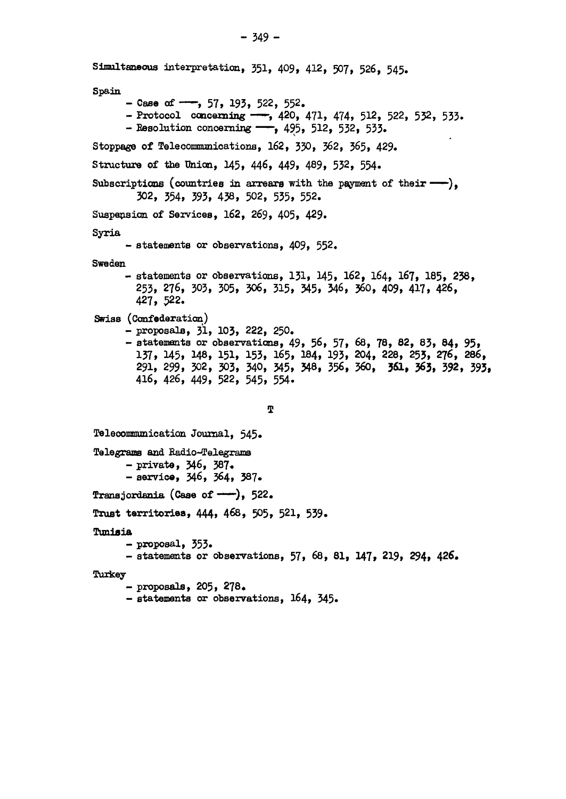Simultaneous interprétation, 551, 409, 412, 507, 526, 545, Spain  $-$  Case of  $-$ , 57, 193, 522, 552. - Protocol concerning  $-$ , 420, 471, 474, 512, 522, 532, 533. - Resolution concerning  $-$ , 495, 512, 532, 533. Stoppage of Telecommunications, 162, 330, 362, 365, 429. Structure of the Union, 145, 446, 449, 489, 532, 554, Subscriptions (countries in arrears with the payment of their  $-\rightarrow$ ). 302, 354, 393, 438, 502, 535, 552. Suspension of Services, 162, 269, 405, 429. Syria - statements or observations, 409, 552. Sweden - statements or observations, 131, 145, 162, I64, 167, 185, 238, 253, 276, 305, 305, 306, 315, 345, 346, 360, 409, 417, 426, 427, 522. Swiss (Confederation) - proposais, 3Ï, 103, 222, 250. - statements or observations, 49, 56, 57, 68, 78, 82, 85, 84, 95, 137, 145, 148, 151, 153, 165, 184, 193, 204, 228, 255, 276, 286, 291, 299, 302, 303, 340, 345, 348, 356, 360, 3Û, 363, 392, 395, 416, 426, 449, 522, 545, 554. **T**  Telecommunication Journal, 545. Telegrams and Radio-Telegrams - private, 346, 387. - service, 546, 564, 387, Transjordania (Case of  $\rightarrow$ ), 522. Trust territories, 444, 468, 505, 521, 539. Tunisia<br>- proposal, 353. - proposai, 353»  $-$  statements or observations,  $5/6$ ,  $6/6$ ,  $7/3$ ,  $8/4$ ,  $8/4$ ,  $4/3$ ,  $6/4$ ,  $4/3$ 

Turkey

- proposais, 205, 278,

 $-$  statements or observations, 164, 345.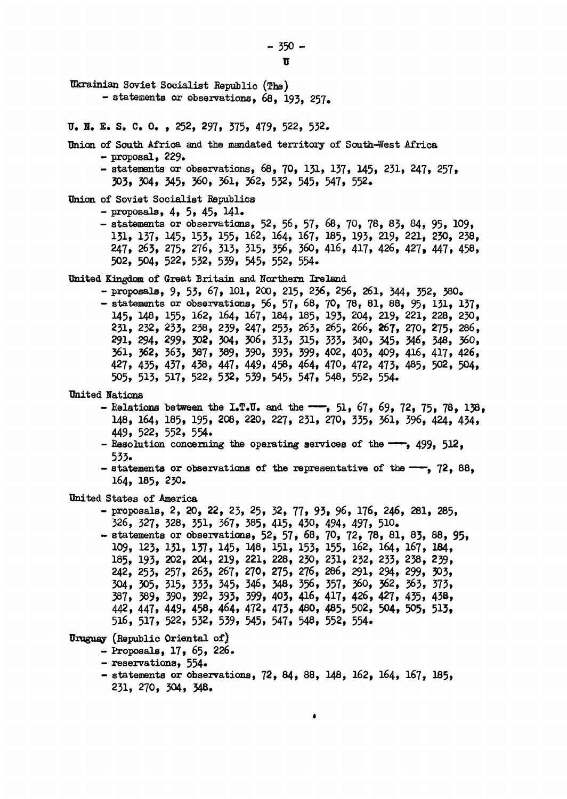$-350 \mathbf{u}$ 

Ukrainian Soviet Socialist Republic (The)

- statements or observations, 68, 193, 257.  $\overline{u}$ .  $\overline{u}$ .  $E$ .  $S$ .  $C$ .  $Q$ .  $Q$ .  $P$ .  $252$ , 297, 375, 479, 522, 532. Union of South Africa and the mandated territory of South-West Africa  $-$  proposal, 229. - statements or observations, 68, 70, 131, 137, 145, 231, 247, 257, 303, 304, 345, 360, 361, 362, 532, 545, 547, 552. Union of Soviet Socialist Republics - proposals,  $4, 5, 45, 141$ . - statements or observations, 52, 56, 57, 68, 70, 78, 83, 84, 95, 109, 131, 137, 145, 153, 155, 162, 164, 167, 185, 193, 219, 221, 230, 238, 247, 263, 275, 276, 313, 315, 356, 360, 416, 417, 426, 427, 447, 458, **502,504,522,532,539,545,552,554。** United Kingdom of Great Britain and Northern Ireland - proposals, 9, 53, 67, 101, 200, 215, 236, 256, 261, 344, 352, 380. - statements or observations, 56, 57, 68, 70, 78, 81, 88, 95, 131, 137, 145, 148, 155, 162, 164, 167, 184, 185, 193, 204, 219, 221, 228, 230, 231, 232, 233, 238, 239, 247, 253, 263, 265, 266, **2**67, 270, 275, 286, 291, 294, 299, 302, 304, 306, 313, 315, 333, 340, 345, 346, 348, 360, 361, 362, 363, 387, 389, 390, 393, 399, 402, 403, 409, 416, 417, 426, 427, 435, 437, 438, 447, 449, 458, 464, 470, 472, 473, 485, 502, 504, 505, 513, 517, 522, 532, 539, 545, 547, 548, 552, 554. United Nations - Relations between the I.T.U. and the  $-$ , 51, 67, 69, 72, 75, 78, 138, 148, 164, 185, 195, 208, 220, 227, 231, 270, 335, 361, 396, 424, 434, 449,522,552,554。 - Resolution concerning the operating services of the  $-$ , 499, 512, 533. - statements or observations of the representative of the  $-$ , 72, 88, 164, 185, 230. United States of America - proposals, 2, 20, 22, 23, 25, 32, 77, 93, 96, 176, 246, 281, 285, 326, 327, 328, 351, 367, 385, 415, 430, 494, 497, 510. - statements or observations, 52, 57, 68, 70, 72, 78, 81, 83, 88, 95, 109, 123, 131, 137, 145, 148, 151, 153, 155, 162, 164, 167, 184, 185, 193, 202, 204, 219, 221, 228, 230, 231, 232, 233, 238, 239, 242, 253, 257, 263, 267, 270, 275, 276, 286, 291, 294, 299, 303, 304, 305, 315, 333, 345, 346, 348, 356, 357, 360, 362, 363, 373, 387, 389, 390, 392, 393, 399, 403, 416, 417, 426, 427, 435, 438, 442, 447, 449, 458, 464, 472, 473, 480, 485, 502, 504, 505, 513, 516, 517, 522, 532, 539, 545, 547, 548, 552, 554. Uruguay (Republic Oriental of) - Proposals, 17, 65, 226. - reservations, 554. - statements or observations, 72, 84, 88, 148, 162, 164, 167, 185, 231, 270, 304, 348.  $\bullet$